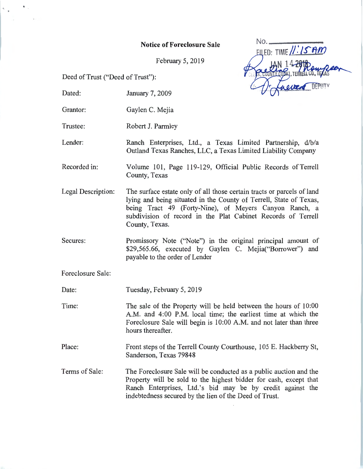## Notice of Foreclosure Sale

February 5, 2019

Deed of Trust ("Deed of Trust"):

ED: TIME //.' */S'Itm* 

 $N_o$ 

- Dated: January 7, 2009
- Grantor: Gaylen C. Mejia
- Trustee: Robert J. Parmley
- Lender: Ranch Enterprises, Ltd., a Texas Limited Partnership, d/b/a Outland Texas Ranches, LLC, a Texas Limited Liability Company
- Recorded in: Volume 101, Page 119-129, Official Public Records of Terrell County, Texas
- Legal Description: The surface estate only of all those certain tracts or parcels of land lying and being situated in the County of Terrell, State of Texas, being Tract 49 (Forty-Nine), of Meyers Canyon Ranch, a subdivision of record in the Plat Cabinet Records of Terrell County, Texas.
- Secures: Promissory Note ("Note") in the original principal amount of \$29,565.66, executed by Gaylen C. Mejia("Borrower") and payable to the order of Lender
- Foreclosure Sale:
- Date: Tuesday, February 5, 2019
- Time: The sale of the Property will be held between the hours of 10:00 A.M. and 4:00 P.M. local time; the earliest time at which the Foreclosure Sale will begin is 10:00 A.M. and not later than three hours thereafter.
- Place: Front steps of the Terrell County Courthouse, 105 E. Hackberry St, Sanderson, Texas 79848
- Terms of Sale: The Foreclosure Sale will be conducted as a public auction and the Property will be sold to the highest bidder for cash, except that Ranch Enterprises, Ltd.'s bid may be by credit against the indebtedness secured by the lien of the Deed of Trust.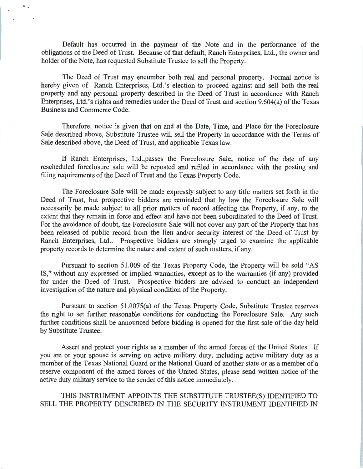Default has occurred in the payment of the Note and in the performance of the obligations of the Deed of Trust. Because of that default, Ranch Enterprises, Ltd., the owner and holder of the Note, has requested Substitute Trustee to sell the Property.

..

The Deed of Trust may encumber both real and personal property. Formal notice is hereby given of Ranch Enterprises, Ltd.'s election to proceed against and sell both the real property and any personal property described in the Deed of Trust in accordance with Ranch Enterprises, Ltd.'s rights and remedies under the Deed of Trust and section 9.604(a) of the Texas Business and Commerce Code.

Therefore, notice is given that on and at the Date, Time, and Place for the Foreclosure Sale described above, Substitute Trustee will sell the Property in accordance with the Terms of Sale described above, the Deed of Trust, and applicable Texas law.

If Ranch Enterprises, Ltd.,passes the Foreclosure Sale, notice of the date of any rescheduled foreclosure sale will be reposted and refiled in accordance with the posting and filing requirements of the Deed of Trust and the Texas Property Code.

The Foreclosure Sale will be made expressly subject to any title matters set forth in the Deed of Trust, but prospective bidders are reminded that by law the Foreclosure Sale will necessarily be made subject to all prior matters of record affecting the Property, if any, to the extent that they remain in force and effect and have not been subordinated to the Deed of Trust. For the avoidance of doubt, the Foreclosure Sale will not cover any part of the Property that has been released of public record from the lien and/or security interest of the Deed of Trust by Ranch Enterprises, Ltd.. Prospective bidders are strongly urged to examine the applicable property records to determine the nature and extent of such matters, if any.

Pursuant to section 51.009 of the Texas Property Code, the Property will be sold "AS IS," without any expressed or implied warranties, except as to the warranties (if any) provided for under the Deed of Trust. Prospective bidders are advised to conduct an independent investigation of the nature and physical condition of the Property.

Pursuant to section 51.0075(a) of the Texas Property Code, Substitute Trustee reserves the right to set further reasonable conditions for conducting the Foreclosure Sale. Any such further conditions shall be announced before bidding is opened for the first sale of the day held by Substitute Trustee.

Assert and protect your rights as a member of the armed forces of the United States. If you are or your spouse is serving on active military duty, including active military duty as a member of the Texas National Guard or the National Guard of another state or as a member of a reserve component of the armed forces of the United States, please send written notice of the active duty military service to the sender of this notice immediately.

THIS INSTRUMENT APPOINTS THE SUBSTITUTE TRUSTEE(S) IDENTIFIED TO SELL THE PROPERTY DESCRIBED IN THE SECURITY INSTRUMENT IDENTIFIED IN